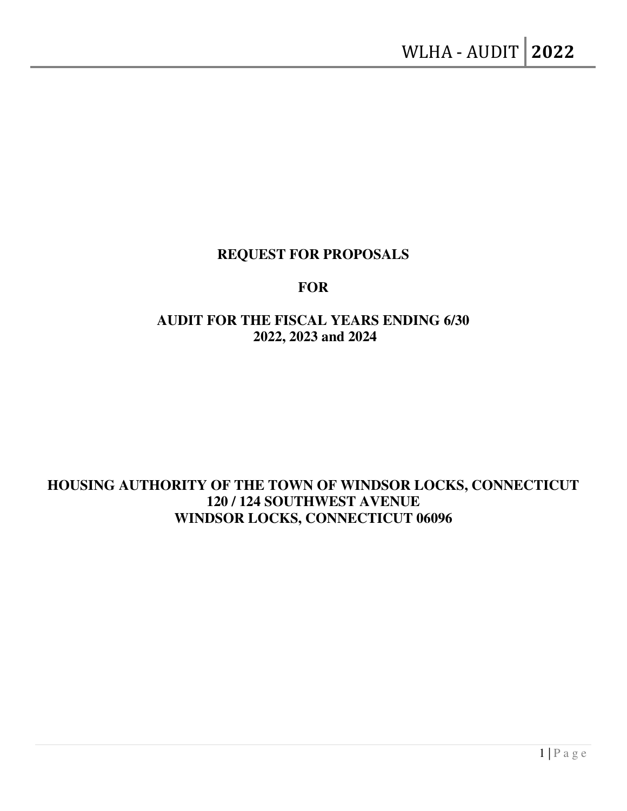## **REQUEST FOR PROPOSALS**

### **FOR**

# **AUDIT FOR THE FISCAL YEARS ENDING 6/30 2022, 2023 and 2024**

# **HOUSING AUTHORITY OF THE TOWN OF WINDSOR LOCKS, CONNECTICUT 120 / 124 SOUTHWEST AVENUE WINDSOR LOCKS, CONNECTICUT 06096**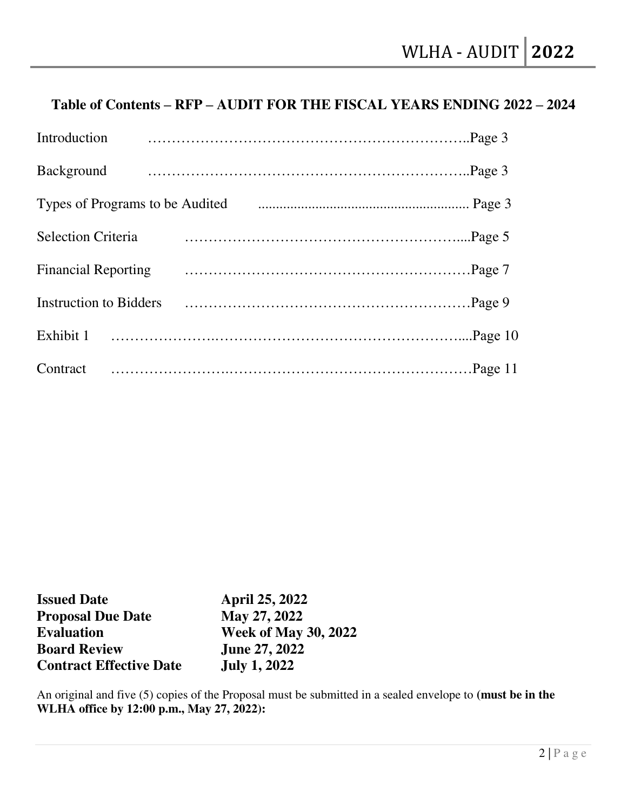# **Table of Contents – RFP – AUDIT FOR THE FISCAL YEARS ENDING 2022 – 2024**

| Introduction                    |  |
|---------------------------------|--|
| Background                      |  |
| Types of Programs to be Audited |  |
| <b>Selection Criteria</b>       |  |
| <b>Financial Reporting</b>      |  |
| Instruction to Bidders          |  |
|                                 |  |
| Contract                        |  |

| <b>Issued Date</b>             | <b>April 25, 2022</b>       |
|--------------------------------|-----------------------------|
| <b>Proposal Due Date</b>       | May 27, 2022                |
| <b>Evaluation</b>              | <b>Week of May 30, 2022</b> |
| <b>Board Review</b>            | <b>June 27, 2022</b>        |
| <b>Contract Effective Date</b> | <b>July 1, 2022</b>         |

An original and five (5) copies of the Proposal must be submitted in a sealed envelope to **(must be in the WLHA office by 12:00 p.m., May 27, 2022):**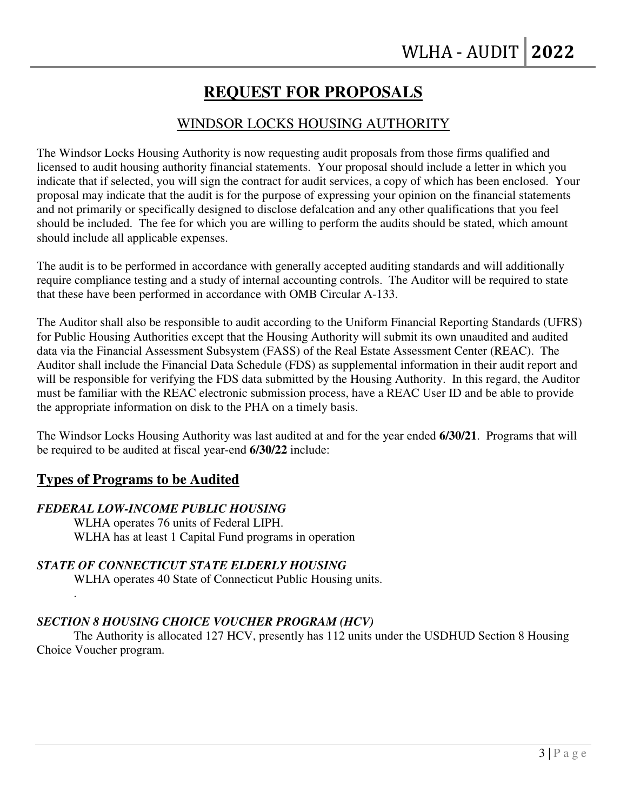# **REQUEST FOR PROPOSALS**

### WINDSOR LOCKS HOUSING AUTHORITY

The Windsor Locks Housing Authority is now requesting audit proposals from those firms qualified and licensed to audit housing authority financial statements. Your proposal should include a letter in which you indicate that if selected, you will sign the contract for audit services, a copy of which has been enclosed. Your proposal may indicate that the audit is for the purpose of expressing your opinion on the financial statements and not primarily or specifically designed to disclose defalcation and any other qualifications that you feel should be included. The fee for which you are willing to perform the audits should be stated, which amount should include all applicable expenses.

The audit is to be performed in accordance with generally accepted auditing standards and will additionally require compliance testing and a study of internal accounting controls. The Auditor will be required to state that these have been performed in accordance with OMB Circular A-133.

The Auditor shall also be responsible to audit according to the Uniform Financial Reporting Standards (UFRS) for Public Housing Authorities except that the Housing Authority will submit its own unaudited and audited data via the Financial Assessment Subsystem (FASS) of the Real Estate Assessment Center (REAC). The Auditor shall include the Financial Data Schedule (FDS) as supplemental information in their audit report and will be responsible for verifying the FDS data submitted by the Housing Authority. In this regard, the Auditor must be familiar with the REAC electronic submission process, have a REAC User ID and be able to provide the appropriate information on disk to the PHA on a timely basis.

The Windsor Locks Housing Authority was last audited at and for the year ended **6/30/21**. Programs that will be required to be audited at fiscal year-end **6/30/22** include:

### **Types of Programs to be Audited**

.

#### *FEDERAL LOW-INCOME PUBLIC HOUSING*

WLHA operates 76 units of Federal LIPH. WLHA has at least 1 Capital Fund programs in operation

#### *STATE OF CONNECTICUT STATE ELDERLY HOUSING*

WLHA operates 40 State of Connecticut Public Housing units.

### *SECTION 8 HOUSING CHOICE VOUCHER PROGRAM (HCV)*

The Authority is allocated 127 HCV, presently has 112 units under the USDHUD Section 8 Housing Choice Voucher program.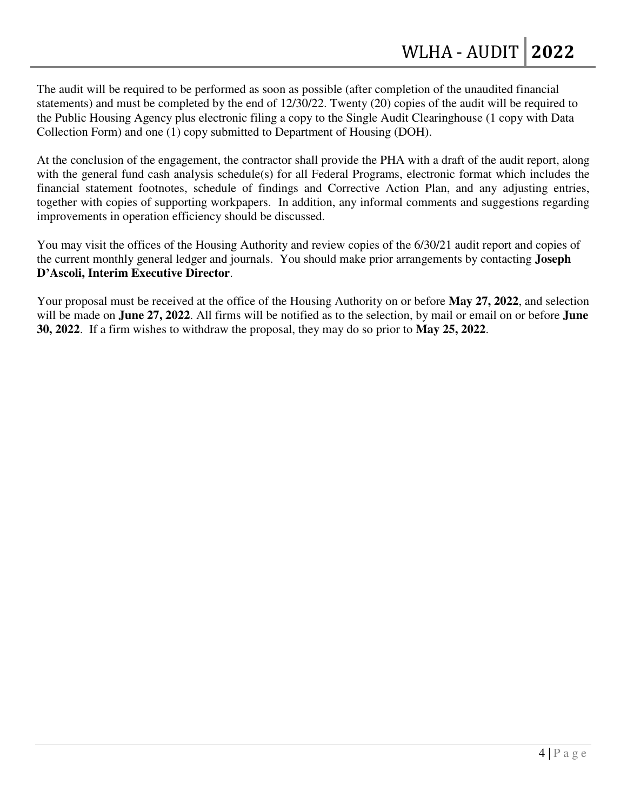The audit will be required to be performed as soon as possible (after completion of the unaudited financial statements) and must be completed by the end of 12/30/22. Twenty (20) copies of the audit will be required to the Public Housing Agency plus electronic filing a copy to the Single Audit Clearinghouse (1 copy with Data Collection Form) and one (1) copy submitted to Department of Housing (DOH).

At the conclusion of the engagement, the contractor shall provide the PHA with a draft of the audit report, along with the general fund cash analysis schedule(s) for all Federal Programs, electronic format which includes the financial statement footnotes, schedule of findings and Corrective Action Plan, and any adjusting entries, together with copies of supporting workpapers. In addition, any informal comments and suggestions regarding improvements in operation efficiency should be discussed.

You may visit the offices of the Housing Authority and review copies of the 6/30/21 audit report and copies of the current monthly general ledger and journals. You should make prior arrangements by contacting **Joseph D'Ascoli, Interim Executive Director**.

Your proposal must be received at the office of the Housing Authority on or before **May 27, 2022**, and selection will be made on **June 27, 2022**. All firms will be notified as to the selection, by mail or email on or before **June 30, 2022**. If a firm wishes to withdraw the proposal, they may do so prior to **May 25, 2022**.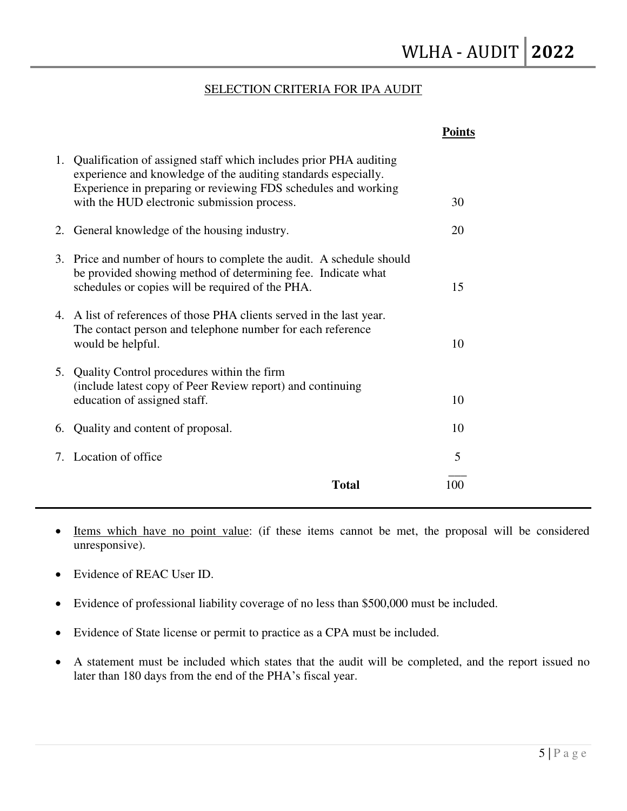#### SELECTION CRITERIA FOR IPA AUDIT

| 1. Qualification of assigned staff which includes prior PHA auditing<br>experience and knowledge of the auditing standards especially.<br>Experience in preparing or reviewing FDS schedules and working |                     |
|----------------------------------------------------------------------------------------------------------------------------------------------------------------------------------------------------------|---------------------|
| with the HUD electronic submission process.                                                                                                                                                              | 30                  |
| General knowledge of the housing industry.<br>2.                                                                                                                                                         | 20                  |
| 3. Price and number of hours to complete the audit. A schedule should<br>be provided showing method of determining fee. Indicate what<br>schedules or copies will be required of the PHA.                | 15                  |
| 4. A list of references of those PHA clients served in the last year.<br>The contact person and telephone number for each reference<br>would be helpful.                                                 | 10                  |
| 5. Quality Control procedures within the firm<br>(include latest copy of Peer Review report) and continuing<br>education of assigned staff.                                                              | 10                  |
| Quality and content of proposal.<br>6.                                                                                                                                                                   | 10                  |
| 7. Location of office                                                                                                                                                                                    | 5                   |
|                                                                                                                                                                                                          | <b>Total</b><br>100 |

 Items which have no point value: (if these items cannot be met, the proposal will be considered unresponsive).

- Evidence of REAC User ID.
- Evidence of professional liability coverage of no less than \$500,000 must be included.
- Evidence of State license or permit to practice as a CPA must be included.
- A statement must be included which states that the audit will be completed, and the report issued no later than 180 days from the end of the PHA's fiscal year.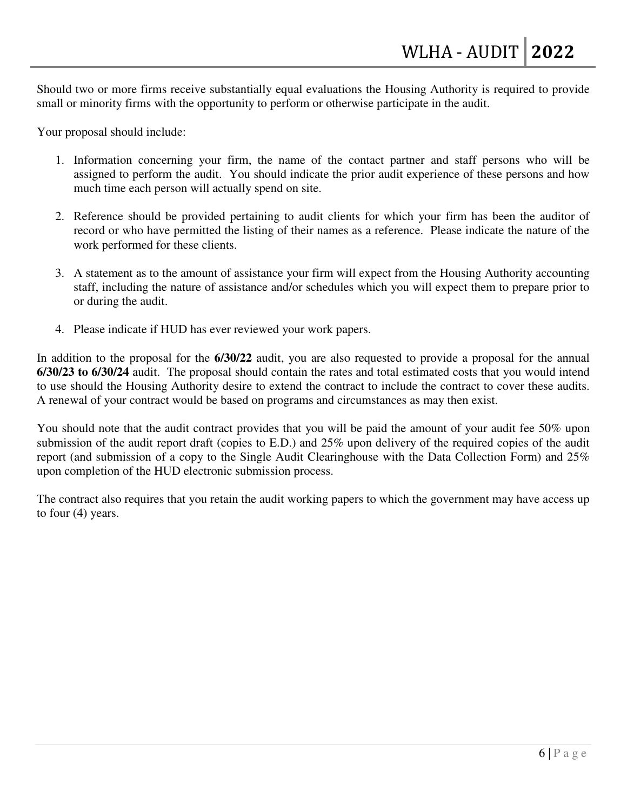Should two or more firms receive substantially equal evaluations the Housing Authority is required to provide small or minority firms with the opportunity to perform or otherwise participate in the audit.

Your proposal should include:

- 1. Information concerning your firm, the name of the contact partner and staff persons who will be assigned to perform the audit. You should indicate the prior audit experience of these persons and how much time each person will actually spend on site.
- 2. Reference should be provided pertaining to audit clients for which your firm has been the auditor of record or who have permitted the listing of their names as a reference. Please indicate the nature of the work performed for these clients.
- 3. A statement as to the amount of assistance your firm will expect from the Housing Authority accounting staff, including the nature of assistance and/or schedules which you will expect them to prepare prior to or during the audit.
- 4. Please indicate if HUD has ever reviewed your work papers.

In addition to the proposal for the **6/30/22** audit, you are also requested to provide a proposal for the annual **6/30/23 to 6/30/24** audit. The proposal should contain the rates and total estimated costs that you would intend to use should the Housing Authority desire to extend the contract to include the contract to cover these audits. A renewal of your contract would be based on programs and circumstances as may then exist.

You should note that the audit contract provides that you will be paid the amount of your audit fee 50% upon submission of the audit report draft (copies to E.D.) and 25% upon delivery of the required copies of the audit report (and submission of a copy to the Single Audit Clearinghouse with the Data Collection Form) and 25% upon completion of the HUD electronic submission process.

The contract also requires that you retain the audit working papers to which the government may have access up to four (4) years.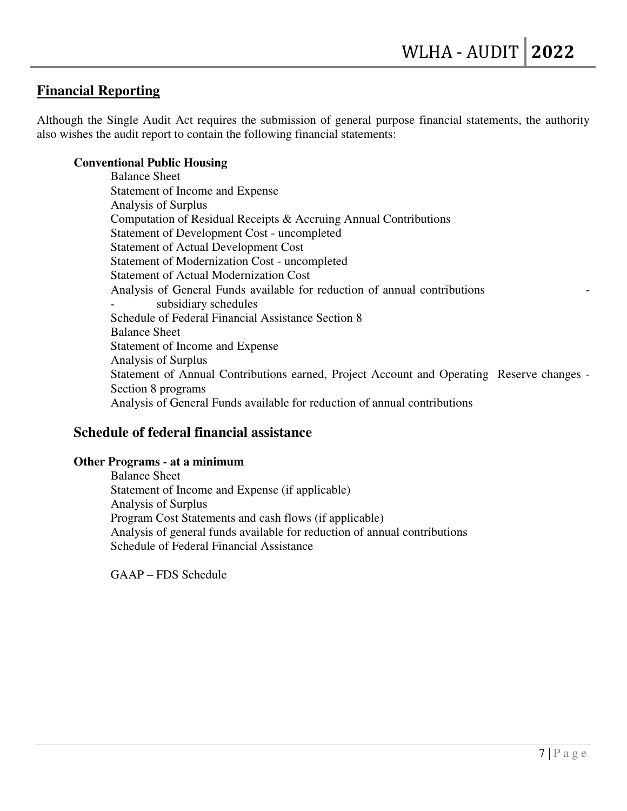### **Financial Reporting**

Although the Single Audit Act requires the submission of general purpose financial statements, the authority also wishes the audit report to contain the following financial statements:

#### **Conventional Public Housing**

Balance Sheet Statement of Income and Expense Analysis of Surplus Computation of Residual Receipts & Accruing Annual Contributions Statement of Development Cost - uncompleted Statement of Actual Development Cost Statement of Modernization Cost - uncompleted Statement of Actual Modernization Cost Analysis of General Funds available for reduction of annual contributions subsidiary schedules Schedule of Federal Financial Assistance Section 8 Balance Sheet Statement of Income and Expense Analysis of Surplus Statement of Annual Contributions earned, Project Account and Operating Reserve changes - Section 8 programs Analysis of General Funds available for reduction of annual contributions

### **Schedule of federal financial assistance**

#### **Other Programs - at a minimum**

 Balance Sheet Statement of Income and Expense (if applicable) Analysis of Surplus Program Cost Statements and cash flows (if applicable) Analysis of general funds available for reduction of annual contributions Schedule of Federal Financial Assistance

GAAP – FDS Schedule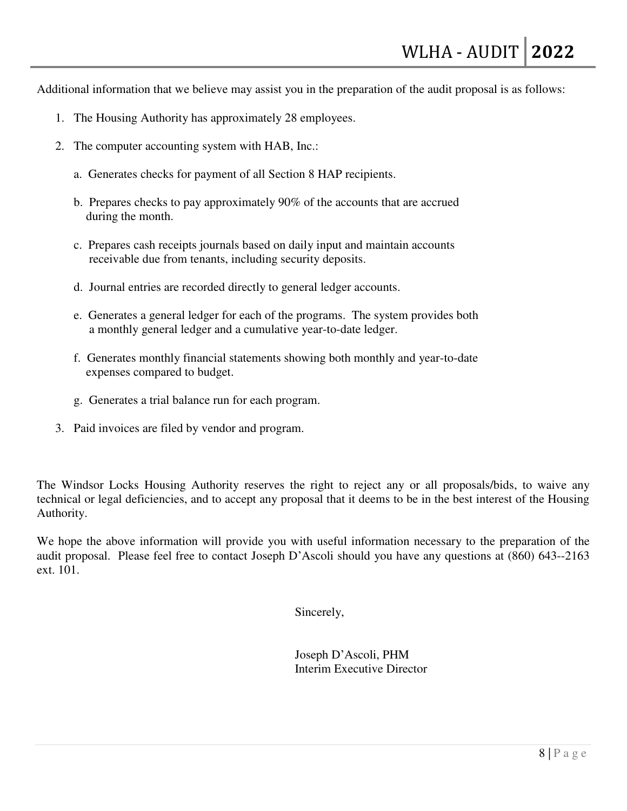Additional information that we believe may assist you in the preparation of the audit proposal is as follows:

- 1. The Housing Authority has approximately 28 employees.
- 2. The computer accounting system with HAB, Inc.:
	- a. Generates checks for payment of all Section 8 HAP recipients.
	- b. Prepares checks to pay approximately 90% of the accounts that are accrued during the month.
	- c. Prepares cash receipts journals based on daily input and maintain accounts receivable due from tenants, including security deposits.
	- d. Journal entries are recorded directly to general ledger accounts.
	- e. Generates a general ledger for each of the programs. The system provides both a monthly general ledger and a cumulative year-to-date ledger.
	- f. Generates monthly financial statements showing both monthly and year-to-date expenses compared to budget.
	- g. Generates a trial balance run for each program.
- 3. Paid invoices are filed by vendor and program.

The Windsor Locks Housing Authority reserves the right to reject any or all proposals/bids, to waive any technical or legal deficiencies, and to accept any proposal that it deems to be in the best interest of the Housing Authority.

We hope the above information will provide you with useful information necessary to the preparation of the audit proposal. Please feel free to contact Joseph D'Ascoli should you have any questions at (860) 643--2163 ext. 101.

Sincerely,

 Joseph D'Ascoli, PHM Interim Executive Director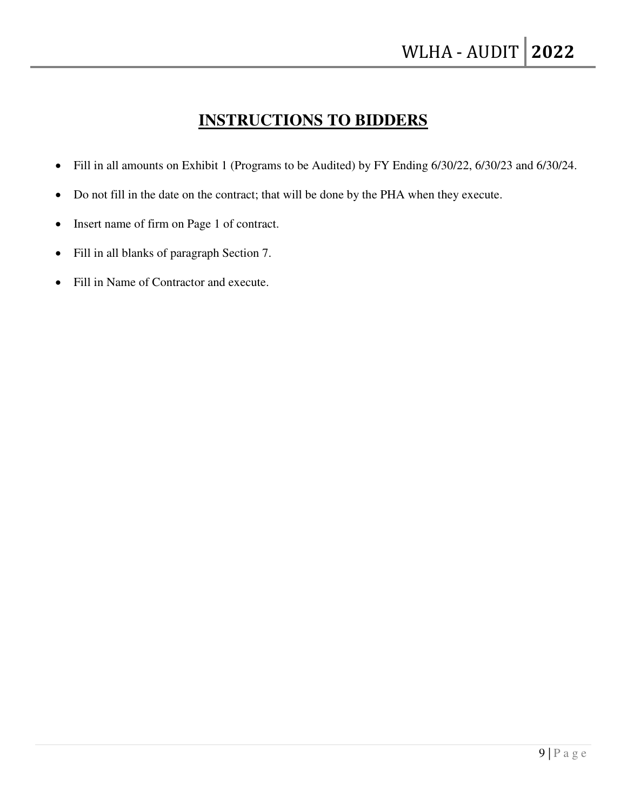# **INSTRUCTIONS TO BIDDERS**

- Fill in all amounts on Exhibit 1 (Programs to be Audited) by FY Ending 6/30/22, 6/30/23 and 6/30/24.
- Do not fill in the date on the contract; that will be done by the PHA when they execute.
- Insert name of firm on Page 1 of contract.
- Fill in all blanks of paragraph Section 7.
- Fill in Name of Contractor and execute.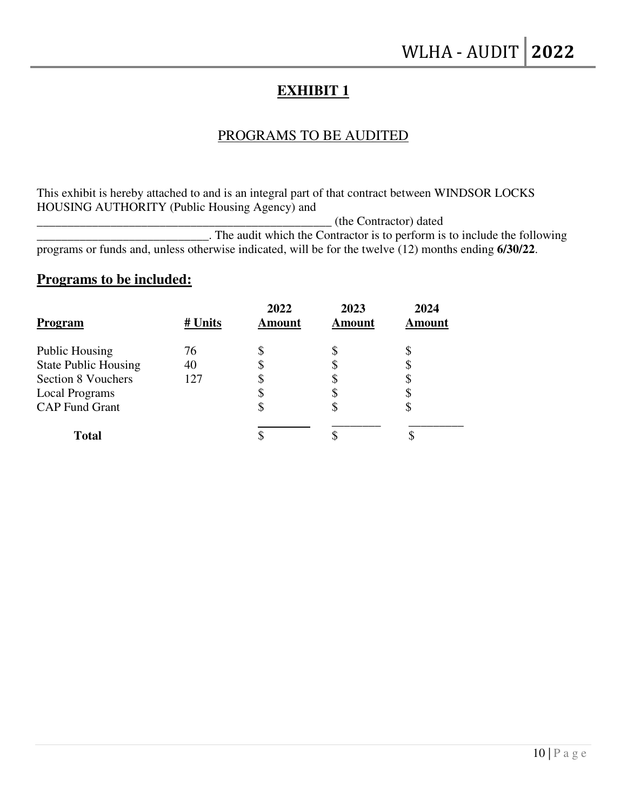## **EXHIBIT 1**

### PROGRAMS TO BE AUDITED

This exhibit is hereby attached to and is an integral part of that contract between WINDSOR LOCKS HOUSING AUTHORITY (Public Housing Agency) and

\_\_\_\_\_\_\_\_\_\_\_\_\_\_\_\_\_\_\_\_\_\_\_\_\_\_\_\_\_\_\_\_\_\_\_\_\_\_\_\_\_\_\_\_\_\_\_\_ (the Contractor) dated

\_\_\_\_\_\_\_\_\_\_\_\_\_\_\_\_\_\_\_\_\_\_\_\_\_\_\_\_. The audit which the Contractor is to perform is to include the following programs or funds and, unless otherwise indicated, will be for the twelve (12) months ending **6/30/22**.

### **Programs to be included:**

| <b>Program</b>              | # Units | 2022<br><b>Amount</b> | 2023<br>Amount | 2024<br>Amount |
|-----------------------------|---------|-----------------------|----------------|----------------|
| <b>Public Housing</b>       | 76      |                       | \$             |                |
| <b>State Public Housing</b> | 40      |                       | \$             |                |
| Section 8 Vouchers          | 127     |                       |                |                |
| <b>Local Programs</b>       |         |                       | \$             |                |
| <b>CAP Fund Grant</b>       |         |                       | \$             | Φ              |
| <b>Total</b>                |         |                       |                |                |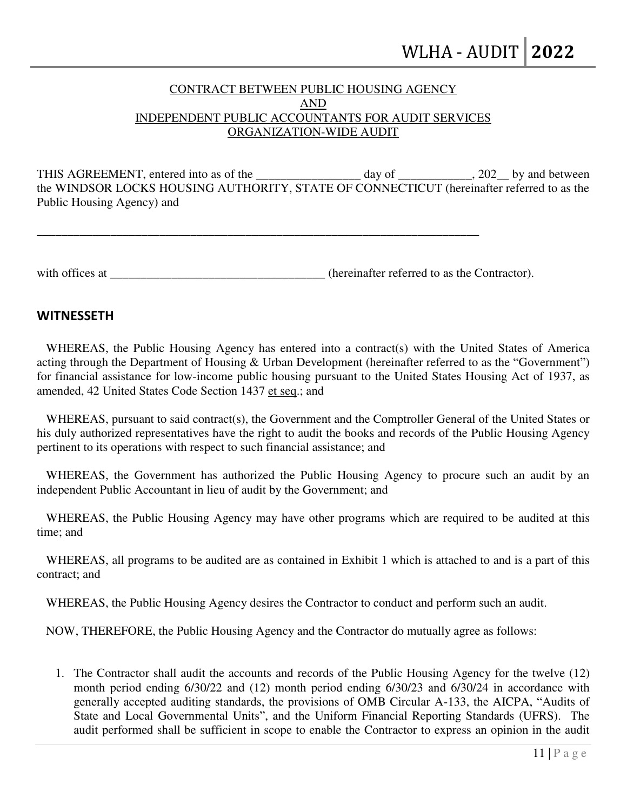#### CONTRACT BETWEEN PUBLIC HOUSING AGENCY AND INDEPENDENT PUBLIC ACCOUNTANTS FOR AUDIT SERVICES ORGANIZATION-WIDE AUDIT

THIS AGREEMENT, entered into as of the day of the day of the contract and between the WINDSOR LOCKS HOUSING AUTHORITY, STATE OF CONNECTICUT (hereinafter referred to as the Public Housing Agency) and

with offices at **the contractor** (hereinafter referred to as the Contractor).

\_\_\_\_\_\_\_\_\_\_\_\_\_\_\_\_\_\_\_\_\_\_\_\_\_\_\_\_\_\_\_\_\_\_\_\_\_\_\_\_\_\_\_\_\_\_\_\_\_\_\_\_\_\_\_\_\_\_\_\_\_\_\_\_\_\_\_\_\_\_\_\_

#### **WITNESSETH**

 WHEREAS, the Public Housing Agency has entered into a contract(s) with the United States of America acting through the Department of Housing & Urban Development (hereinafter referred to as the "Government") for financial assistance for low-income public housing pursuant to the United States Housing Act of 1937, as amended, 42 United States Code Section 1437 et seq.; and

 WHEREAS, pursuant to said contract(s), the Government and the Comptroller General of the United States or his duly authorized representatives have the right to audit the books and records of the Public Housing Agency pertinent to its operations with respect to such financial assistance; and

 WHEREAS, the Government has authorized the Public Housing Agency to procure such an audit by an independent Public Accountant in lieu of audit by the Government; and

 WHEREAS, the Public Housing Agency may have other programs which are required to be audited at this time; and

 WHEREAS, all programs to be audited are as contained in Exhibit 1 which is attached to and is a part of this contract; and

WHEREAS, the Public Housing Agency desires the Contractor to conduct and perform such an audit.

NOW, THEREFORE, the Public Housing Agency and the Contractor do mutually agree as follows:

1. The Contractor shall audit the accounts and records of the Public Housing Agency for the twelve (12) month period ending 6/30/22 and (12) month period ending 6/30/23 and 6/30/24 in accordance with generally accepted auditing standards, the provisions of OMB Circular A-133, the AICPA, "Audits of State and Local Governmental Units", and the Uniform Financial Reporting Standards (UFRS). The audit performed shall be sufficient in scope to enable the Contractor to express an opinion in the audit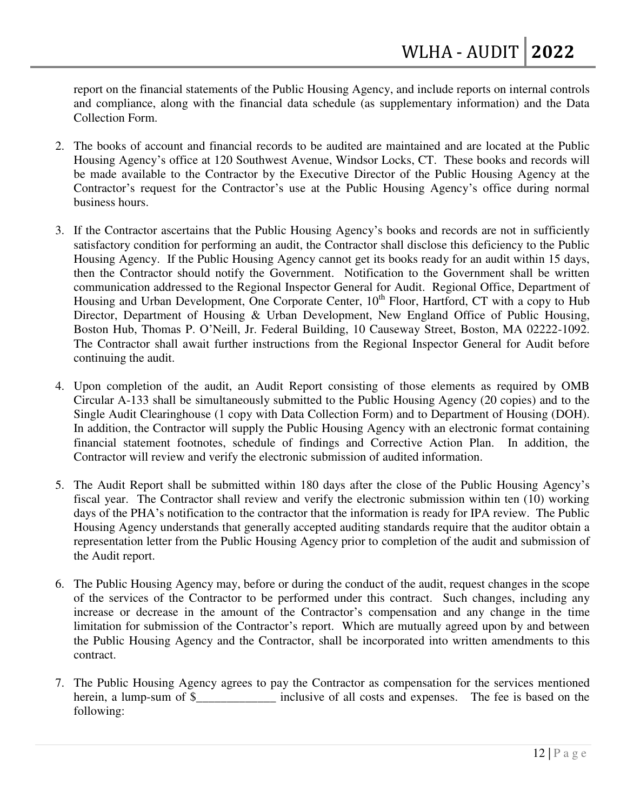report on the financial statements of the Public Housing Agency, and include reports on internal controls and compliance, along with the financial data schedule (as supplementary information) and the Data Collection Form.

- 2. The books of account and financial records to be audited are maintained and are located at the Public Housing Agency's office at 120 Southwest Avenue, Windsor Locks, CT. These books and records will be made available to the Contractor by the Executive Director of the Public Housing Agency at the Contractor's request for the Contractor's use at the Public Housing Agency's office during normal business hours.
- 3. If the Contractor ascertains that the Public Housing Agency's books and records are not in sufficiently satisfactory condition for performing an audit, the Contractor shall disclose this deficiency to the Public Housing Agency. If the Public Housing Agency cannot get its books ready for an audit within 15 days, then the Contractor should notify the Government. Notification to the Government shall be written communication addressed to the Regional Inspector General for Audit. Regional Office, Department of Housing and Urban Development, One Corporate Center,  $10<sup>th</sup>$  Floor, Hartford, CT with a copy to Hub Director, Department of Housing & Urban Development, New England Office of Public Housing, Boston Hub, Thomas P. O'Neill, Jr. Federal Building, 10 Causeway Street, Boston, MA 02222-1092. The Contractor shall await further instructions from the Regional Inspector General for Audit before continuing the audit.
- 4. Upon completion of the audit, an Audit Report consisting of those elements as required by OMB Circular A-133 shall be simultaneously submitted to the Public Housing Agency (20 copies) and to the Single Audit Clearinghouse (1 copy with Data Collection Form) and to Department of Housing (DOH). In addition, the Contractor will supply the Public Housing Agency with an electronic format containing financial statement footnotes, schedule of findings and Corrective Action Plan. In addition, the Contractor will review and verify the electronic submission of audited information.
- 5. The Audit Report shall be submitted within 180 days after the close of the Public Housing Agency's fiscal year. The Contractor shall review and verify the electronic submission within ten (10) working days of the PHA's notification to the contractor that the information is ready for IPA review. The Public Housing Agency understands that generally accepted auditing standards require that the auditor obtain a representation letter from the Public Housing Agency prior to completion of the audit and submission of the Audit report.
- 6. The Public Housing Agency may, before or during the conduct of the audit, request changes in the scope of the services of the Contractor to be performed under this contract. Such changes, including any increase or decrease in the amount of the Contractor's compensation and any change in the time limitation for submission of the Contractor's report. Which are mutually agreed upon by and between the Public Housing Agency and the Contractor, shall be incorporated into written amendments to this contract.
- 7. The Public Housing Agency agrees to pay the Contractor as compensation for the services mentioned herein, a lump-sum of \$ The inclusive of all costs and expenses. The fee is based on the following: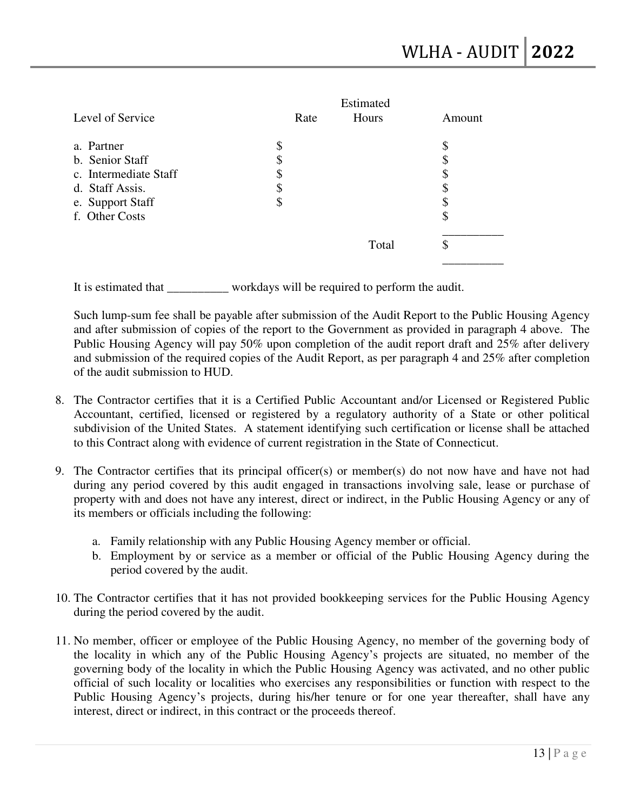|                       |      | Estimated |        |
|-----------------------|------|-----------|--------|
| Level of Service      | Rate | Hours     | Amount |
| a. Partner            | \$   |           | \$     |
| b. Senior Staff       | \$   |           | \$     |
| c. Intermediate Staff | \$   |           | \$     |
| d. Staff Assis.       | \$   |           | S      |
| e. Support Staff      | \$   |           | S      |
| f. Other Costs        |      |           | \$     |
|                       |      | Total     | \$     |
|                       |      |           |        |

It is estimated that \_\_\_\_\_\_\_\_\_\_ workdays will be required to perform the audit.

Such lump-sum fee shall be payable after submission of the Audit Report to the Public Housing Agency and after submission of copies of the report to the Government as provided in paragraph 4 above. The Public Housing Agency will pay 50% upon completion of the audit report draft and 25% after delivery and submission of the required copies of the Audit Report, as per paragraph 4 and 25% after completion of the audit submission to HUD.

- 8. The Contractor certifies that it is a Certified Public Accountant and/or Licensed or Registered Public Accountant, certified, licensed or registered by a regulatory authority of a State or other political subdivision of the United States. A statement identifying such certification or license shall be attached to this Contract along with evidence of current registration in the State of Connecticut.
- 9. The Contractor certifies that its principal officer(s) or member(s) do not now have and have not had during any period covered by this audit engaged in transactions involving sale, lease or purchase of property with and does not have any interest, direct or indirect, in the Public Housing Agency or any of its members or officials including the following:
	- a. Family relationship with any Public Housing Agency member or official.
	- b. Employment by or service as a member or official of the Public Housing Agency during the period covered by the audit.
- 10. The Contractor certifies that it has not provided bookkeeping services for the Public Housing Agency during the period covered by the audit.
- 11. No member, officer or employee of the Public Housing Agency, no member of the governing body of the locality in which any of the Public Housing Agency's projects are situated, no member of the governing body of the locality in which the Public Housing Agency was activated, and no other public official of such locality or localities who exercises any responsibilities or function with respect to the Public Housing Agency's projects, during his/her tenure or for one year thereafter, shall have any interest, direct or indirect, in this contract or the proceeds thereof.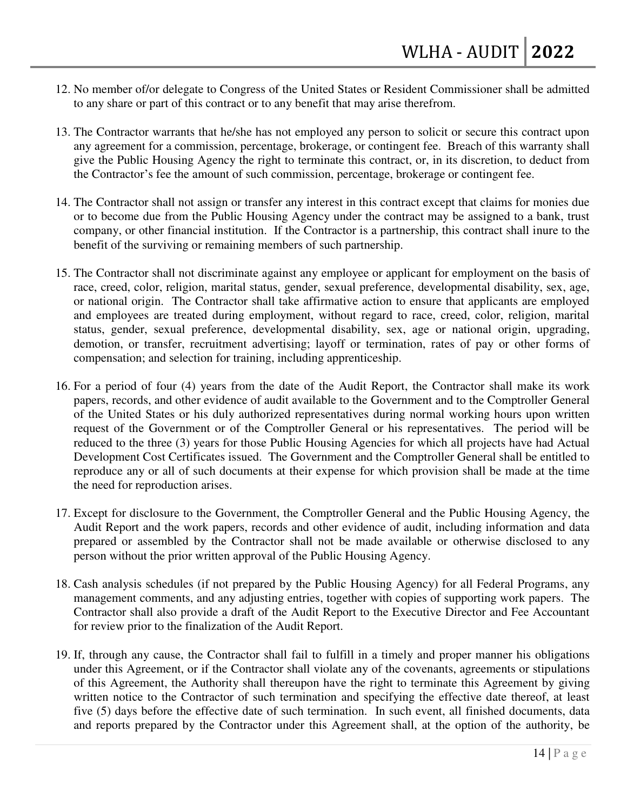- 12. No member of/or delegate to Congress of the United States or Resident Commissioner shall be admitted to any share or part of this contract or to any benefit that may arise therefrom.
- 13. The Contractor warrants that he/she has not employed any person to solicit or secure this contract upon any agreement for a commission, percentage, brokerage, or contingent fee. Breach of this warranty shall give the Public Housing Agency the right to terminate this contract, or, in its discretion, to deduct from the Contractor's fee the amount of such commission, percentage, brokerage or contingent fee.
- 14. The Contractor shall not assign or transfer any interest in this contract except that claims for monies due or to become due from the Public Housing Agency under the contract may be assigned to a bank, trust company, or other financial institution. If the Contractor is a partnership, this contract shall inure to the benefit of the surviving or remaining members of such partnership.
- 15. The Contractor shall not discriminate against any employee or applicant for employment on the basis of race, creed, color, religion, marital status, gender, sexual preference, developmental disability, sex, age, or national origin. The Contractor shall take affirmative action to ensure that applicants are employed and employees are treated during employment, without regard to race, creed, color, religion, marital status, gender, sexual preference, developmental disability, sex, age or national origin, upgrading, demotion, or transfer, recruitment advertising; layoff or termination, rates of pay or other forms of compensation; and selection for training, including apprenticeship.
- 16. For a period of four (4) years from the date of the Audit Report, the Contractor shall make its work papers, records, and other evidence of audit available to the Government and to the Comptroller General of the United States or his duly authorized representatives during normal working hours upon written request of the Government or of the Comptroller General or his representatives. The period will be reduced to the three (3) years for those Public Housing Agencies for which all projects have had Actual Development Cost Certificates issued. The Government and the Comptroller General shall be entitled to reproduce any or all of such documents at their expense for which provision shall be made at the time the need for reproduction arises.
- 17. Except for disclosure to the Government, the Comptroller General and the Public Housing Agency, the Audit Report and the work papers, records and other evidence of audit, including information and data prepared or assembled by the Contractor shall not be made available or otherwise disclosed to any person without the prior written approval of the Public Housing Agency.
- 18. Cash analysis schedules (if not prepared by the Public Housing Agency) for all Federal Programs, any management comments, and any adjusting entries, together with copies of supporting work papers. The Contractor shall also provide a draft of the Audit Report to the Executive Director and Fee Accountant for review prior to the finalization of the Audit Report.
- 19. If, through any cause, the Contractor shall fail to fulfill in a timely and proper manner his obligations under this Agreement, or if the Contractor shall violate any of the covenants, agreements or stipulations of this Agreement, the Authority shall thereupon have the right to terminate this Agreement by giving written notice to the Contractor of such termination and specifying the effective date thereof, at least five (5) days before the effective date of such termination. In such event, all finished documents, data and reports prepared by the Contractor under this Agreement shall, at the option of the authority, be